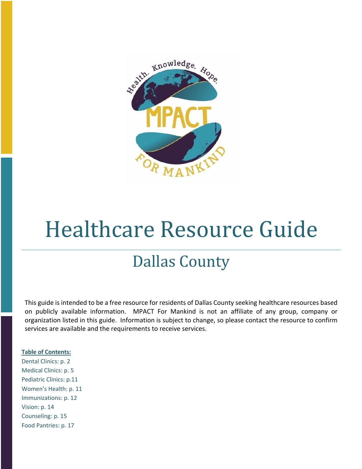

# Healthcare Resource Guide

## Dallas County

This guide is intended to be a free resource for residents of Dallas County seeking healthcare resources based on publicly available information. MPACT For Mankind is not an affiliate of any group, company or organization listed in this guide. Information is subject to change, so please contact the resource to confirm services are available and the requirements to receive services.

#### **Table of Contents:**

Dental Clinics: p. 2 Medical Clinics: p. 5 Pediatric Clinics: p.11 Women's Health: p. 11 Immunizations: p. 12 Vision: p. 14 Counseling: p. 15 Food Pantries: p. 17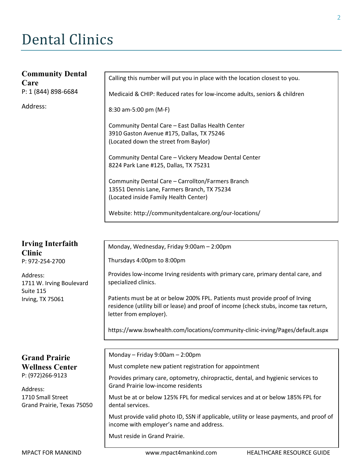## Dental Clinics

| <b>Community Dental</b><br>Care | Calling this number will put you in place with the location closest to you.                                                               |
|---------------------------------|-------------------------------------------------------------------------------------------------------------------------------------------|
| P: 1 (844) 898-6684             | Medicaid & CHIP: Reduced rates for low-income adults, seniors & children                                                                  |
| Address:                        | 8:30 am-5:00 pm (M-F)                                                                                                                     |
|                                 | Community Dental Care - East Dallas Health Center<br>3910 Gaston Avenue #175, Dallas, TX 75246<br>(Located down the street from Baylor)   |
|                                 | Community Dental Care - Vickery Meadow Dental Center<br>8224 Park Lane #125, Dallas, TX 75231                                             |
|                                 | Community Dental Care - Carrollton/Farmers Branch<br>13551 Dennis Lane, Farmers Branch, TX 75234<br>(Located inside Family Health Center) |
|                                 | Website: http://communitydentalcare.org/our-locations/                                                                                    |
|                                 |                                                                                                                                           |

Monday, Wednesday, Friday 9:00am – 2:00pm

Thursdays 4:00pm to 8:00pm

Provides low-income Irving residents with primary care, primary dental care, and specialized clinics.

Patients must be at or below 200% FPL. Patients must provide proof of Irving residence (utility bill or lease) and proof of income (check stubs, income tax return, letter from employer).

https://www.bswhealth.com/locations/community-clinic-irving/Pages/default.aspx

### **Grand Prairie Wellness Center** P: (972)266-9123

**Irving Interfaith** 

1711 W. Irving Boulevard

P: 972-254-2700

Irving, TX 75061

**Clinic** 

Address:

Suite 115

Address: 1710 Small Street Grand Prairie, Texas 75050 Monday – Friday 9:00am – 2:00pm

Must complete new patient registration for appointment

Provides primary care, optometry, chiropractic, dental, and hygienic services to Grand Prairie low-income residents

Must be at or below 125% FPL for medical services and at or below 185% FPL for dental services.

Must provide valid photo ID, SSN if applicable, utility or lease payments, and proof of income with employer's name and address.

Must reside in Grand Prairie.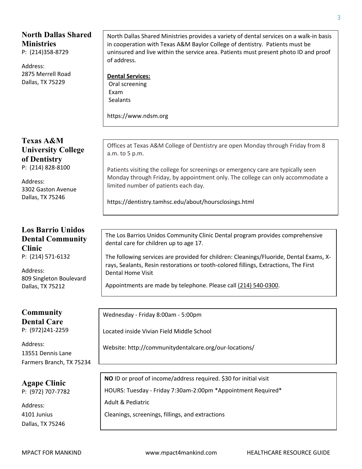### **North Dallas Shared Ministries**

P: (214)358-8729

Address: 2875 Merrell Road Dallas, TX 75229

**Texas A&M University College of Dentistry**  P: (214) 828-8100

Address: 3302 Gaston Avenue Dallas, TX 75246

### **Los Barrio Unidos Dental Community Clinic**  P: (214) 571-6132

Address: 809 Singleton Boulevard Dallas, TX 75212

#### **Community Dental Care** P: (972)241-2259

Address: 13551 Dennis Lane Farmers Branch, TX 75234

**Agape Clinic** P: (972) 707-7782

Address: 4101 Junius Dallas, TX 75246

North Dallas Shared Ministries provides a variety of dental services on a walk-in basis in cooperation with Texas A&M Baylor College of dentistry. Patients must be uninsured and live within the service area. Patients must present photo ID and proof of address.

**Dental Services:** Oral screening Exam **Sealants** 

https://www.ndsm.org

Offices at Texas A&M College of Dentistry are open Monday through Friday from 8 a.m. to 5 p.m.

Patients visiting the college for screenings or emergency care are typically seen Monday through Friday, by appointment only. The college can only accommodate a limited number of patients each day.

https://dentistry.tamhsc.edu/about/hoursclosings.html

The Los Barrios Unidos Community Clinic Dental program provides comprehensive dental care for children up to age 17.

The following services are provided for children: Cleanings/Fluoride, Dental Exams, Xrays, Sealants, Resin restorations or tooth-colored fillings, Extractions, The First Dental Home Visit

Appointments are made by telephone. Please call (214) 540-0300.

Wednesday - Friday 8:00am - 5:00pm

Located inside Vivian Field Middle School

Website: http://communitydentalcare.org/our-locations/

**NO** ID or proof of income/address required. \$30 for initial visit

HOURS: Tuesday - Friday 7:30am-2:00pm \*Appointment Required\*

Adult & Pediatric

Cleanings, screenings, fillings, and extractions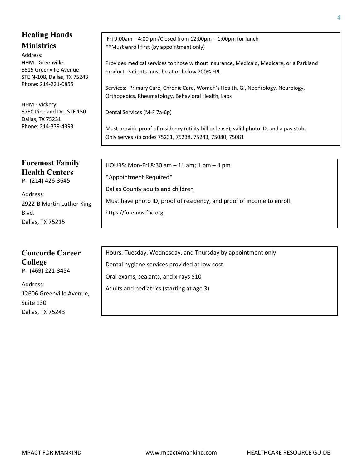### **Healing Hands Ministries**

Address: HHM - Greenville: 8515 Greenville Avenue STE N-108, Dallas, TX 75243 Phone: 214-221-0855

HHM - Vickery: 5750 Pineland Dr., STE 150 Dallas, TX 75231 Phone: 214-379-4393

## **Foremost Family Health Centers**

P: (214) 426-3645

Address: 2922-B Martin Luther King Blvd. Dallas, TX 75215

## **Concorde Career**

**College** P: (469) 221-3454

Address: 12606 Greenville Avenue, Suite 130 Dallas, TX 75243

Fri 9:00am – 4:00 pm/Closed from 12:00pm – 1:00pm for lunch \*\*Must enroll first (by appointment only)

Provides medical services to those without insurance, Medicaid, Medicare, or a Parkland product. Patients must be at or below 200% FPL.

Services: Primary Care, Chronic Care, Women's Health, GI, Nephrology, Neurology, Orthopedics, Rheumatology, Behavioral Health, Labs

Dental Services (M-F 7a-6p)

Must provide proof of residency (utility bill or lease), valid photo ID, and a pay stub. Only serves zip codes 75231, 75238, 75243, 75080, 75081

HOURS: Mon-Fri 8:30 am – 11 am; 1 pm – 4 pm \*Appointment Required\* Dallas County adults and children Must have photo ID, proof of residency, and proof of income to enroll. https://foremostfhc.org

Hours: Tuesday, Wednesday, and Thursday by appointment only Dental hygiene services provided at low cost Oral exams, sealants, and x-rays \$10 Adults and pediatrics (starting at age 3)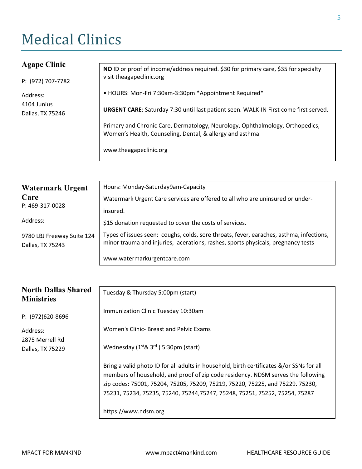## **Medical Clinics**

### **Agape Clinic**

P: (972) 707-7782

Address: 4104 Junius Dallas, TX 75246

**NO** ID or proof of income/address required. \$30 for primary care, \$35 for specialty visit theagapeclinic.org

• HOURS: Mon-Fri 7:30am-3:30pm \*Appointment Required\*

**URGENT CARE**: Saturday 7:30 until last patient seen. WALK-IN First come first served.

Primary and Chronic Care, Dermatology, Neurology, Ophthalmology, Orthopedics, Women's Health, Counseling, Dental, & allergy and asthma

www.theagapeclinic.org

| Watermark Urgent                               | Hours: Monday-Saturday9am-Capacity                                                                                                                                           |  |
|------------------------------------------------|------------------------------------------------------------------------------------------------------------------------------------------------------------------------------|--|
| Care<br>P: 469-317-0028                        | Watermark Urgent Care services are offered to all who are uninsured or under-                                                                                                |  |
|                                                | insured.                                                                                                                                                                     |  |
| Address:                                       | \$15 donation requested to cover the costs of services.                                                                                                                      |  |
| 9780 LBJ Freeway Suite 124<br>Dallas, TX 75243 | Types of issues seen: coughs, colds, sore throats, fever, earaches, asthma, infections,<br>minor trauma and injuries, lacerations, rashes, sports physicals, pregnancy tests |  |
|                                                | www.watermarkurgentcare.com                                                                                                                                                  |  |

| <b>North Dallas Shared</b><br><b>Ministries</b> | Tuesday & Thursday 5:00pm (start)                                                                                                                                                                                                                                                                                                            |
|-------------------------------------------------|----------------------------------------------------------------------------------------------------------------------------------------------------------------------------------------------------------------------------------------------------------------------------------------------------------------------------------------------|
| P: (972)620-8696                                | Immunization Clinic Tuesday 10:30am                                                                                                                                                                                                                                                                                                          |
| Address:<br>2875 Merrell Rd                     | Women's Clinic- Breast and Pelvic Exams                                                                                                                                                                                                                                                                                                      |
| Dallas, TX 75229                                | Wednesday $(1^{st}$ & $3^{rd}$ ) 5:30pm (start)                                                                                                                                                                                                                                                                                              |
|                                                 | Bring a valid photo ID for all adults in household, birth certificates &/or SSNs for all<br>members of household, and proof of zip code residency. NDSM serves the following<br>zip codes: 75001, 75204, 75205, 75209, 75219, 75220, 75225, and 75229. 75230,<br>75231, 75234, 75235, 75240, 75244, 75247, 75248, 75251, 75252, 75254, 75287 |
|                                                 | https://www.ndsm.org                                                                                                                                                                                                                                                                                                                         |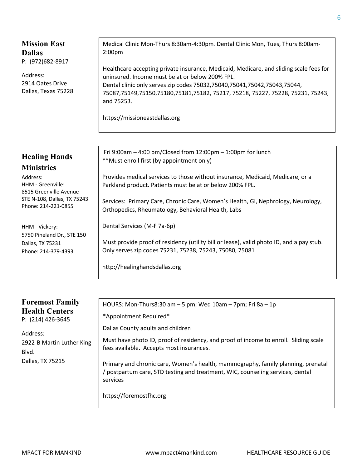### **Mission East Dallas**  P: (972)682-8917

Address: 2914 Oates Drive Dallas, Texas 75228

### **Healing Hands Ministries**

Address: HHM - Greenville: 8515 Greenville Avenue STE N-108, Dallas, TX 75243 Phone: 214-221-0855

HHM - Vickery: 5750 Pineland Dr., STE 150 Dallas, TX 75231 Phone: 214-379-4393

### **Foremost Family Health Centers** P: (214) 426-3645

Address: 2922-B Martin Luther King Blvd. Dallas, TX 75215

Medical Clinic Mon-Thurs 8:30am-4:30pm. Dental Clinic Mon, Tues, Thurs 8:00am-2:00pm

Healthcare accepting private insurance, Medicaid, Medicare, and sliding scale fees for uninsured. Income must be at or below 200% FPL. Dental clinic only serves zip codes 75032,75040,75041,75042,75043,75044, 75087,75149,75150,75180,75181,75182, 75217, 75218, 75227, 75228, 75231, 75243, and 75253.

https://missioneastdallas.org

Fri 9:00am – 4:00 pm/Closed from 12:00pm – 1:00pm for lunch \*\*Must enroll first (by appointment only)

Provides medical services to those without insurance, Medicaid, Medicare, or a Parkland product. Patients must be at or below 200% FPL.

Services: Primary Care, Chronic Care, Women's Health, GI, Nephrology, Neurology, Orthopedics, Rheumatology, Behavioral Health, Labs

Dental Services (M-F 7a-6p)

Must provide proof of residency (utility bill or lease), valid photo ID, and a pay stub. Only serves zip codes 75231, 75238, 75243, 75080, 75081

http://healinghandsdallas.org

HOURS: Mon-Thurs8:30 am – 5 pm; Wed 10am – 7pm; Fri 8a – 1p

\*Appointment Required\*

Dallas County adults and children

Must have photo ID, proof of residency, and proof of income to enroll. Sliding scale fees available. Accepts most insurances.

Primary and chronic care, Women's health, mammography, family planning, prenatal / postpartum care, STD testing and treatment, WIC, counseling services, dental services

https://foremostfhc.org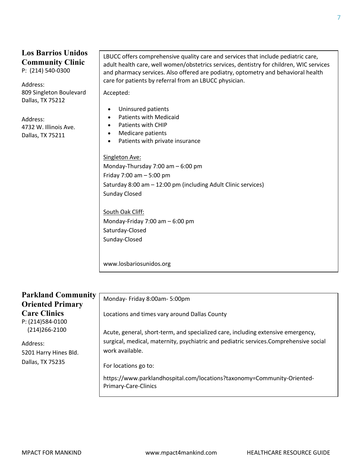## **Los Barrios Unidos Community Clinic**

P: (214) 540-0300

Address: 809 Singleton Boulevard Dallas, TX 75212

Address: 4732 W. Illinois Ave. Dallas, TX 75211

LBUCC offers comprehensive quality care and services that include pediatric care, adult health care, well women/obstetrics services, dentistry for children, WIC services and pharmacy services. Also offered are podiatry, optometry and behavioral health care for patients by referral from an LBUCC physician.

Accepted:

- Uninsured patients
- Patients with Medicaid
- Patients with CHIP
- Medicare patients
- Patients with private insurance

Singleton Ave:

Monday-Thursday 7:00 am – 6:00 pm Friday 7:00 am – 5:00 pm Saturday 8:00 am – 12:00 pm (including Adult Clinic services) Sunday Closed

South Oak Cliff: Monday-Friday 7:00 am – 6:00 pm Saturday-Closed Sunday-Closed

www.losbariosunidos.org

| <b>Parkland Community</b><br><b>Oriented Primary</b>                                                                  | Monday- Friday 8:00am- 5:00pm                                                                            |
|-----------------------------------------------------------------------------------------------------------------------|----------------------------------------------------------------------------------------------------------|
| <b>Care Clinics</b><br>P: (214)584-0100<br>$(214)266 - 2100$<br>Address:<br>5201 Harry Hines Bld.<br>Dallas, TX 75235 | Locations and times vary around Dallas County                                                            |
|                                                                                                                       | Acute, general, short-term, and specialized care, including extensive emergency,                         |
|                                                                                                                       | surgical, medical, maternity, psychiatric and pediatric services.Comprehensive social<br>work available. |
|                                                                                                                       | For locations go to:                                                                                     |
|                                                                                                                       | https://www.parklandhospital.com/locations?taxonomy=Community-Oriented-<br><b>Primary-Care-Clinics</b>   |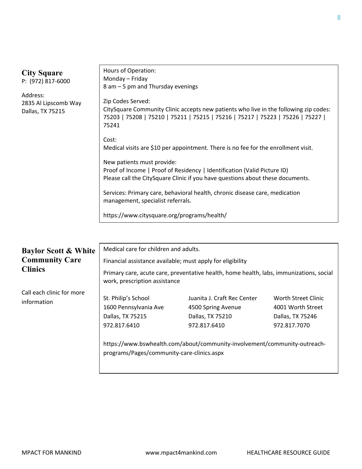| <b>City Square</b><br>P: (972) 817-6000              | Hours of Operation:<br>Monday - Friday<br>8 am – 5 pm and Thursday evenings                                                                                                                            |
|------------------------------------------------------|--------------------------------------------------------------------------------------------------------------------------------------------------------------------------------------------------------|
| Address:<br>2835 Al Lipscomb Way<br>Dallas, TX 75215 | Zip Codes Served:<br>CitySquare Community Clinic accepts new patients who live in the following zip codes:<br>75203   75208   75210   75211   75215   75216   75217   75223   75226   75227  <br>75241 |
|                                                      | Cost:<br>Medical visits are \$10 per appointment. There is no fee for the enrollment visit.                                                                                                            |
|                                                      | New patients must provide:<br>Proof of Income   Proof of Residency   Identification (Valid Picture ID)<br>Please call the CitySquare Clinic if you have questions about these documents.               |
|                                                      | Services: Primary care, behavioral health, chronic disease care, medication<br>management, specialist referrals.                                                                                       |
|                                                      | https://www.citysquare.org/programs/health/                                                                                                                                                            |

| <b>Baylor Scott &amp; White</b>          | Medical care for children and adults.                                                                                          |                                                                                                                                                                    |                                                                              |
|------------------------------------------|--------------------------------------------------------------------------------------------------------------------------------|--------------------------------------------------------------------------------------------------------------------------------------------------------------------|------------------------------------------------------------------------------|
| <b>Community Care</b><br><b>Clinics</b>  | Financial assistance available; must apply for eligibility                                                                     |                                                                                                                                                                    |                                                                              |
|                                          | Primary care, acute care, preventative health, home health, labs, immunizations, social<br>work, prescription assistance       |                                                                                                                                                                    |                                                                              |
| Call each clinic for more<br>information | St. Philip's School<br>1600 Pennsylvania Ave<br>Dallas, TX 75215<br>972.817.6410<br>programs/Pages/community-care-clinics.aspx | Juanita J. Craft Rec Center<br>4500 Spring Avenue<br>Dallas, TX 75210<br>972.817.6410<br>https://www.bswhealth.com/about/community-involvement/community-outreach- | Worth Street Clinic<br>4001 Worth Street<br>Dallas, TX 75246<br>972.817.7070 |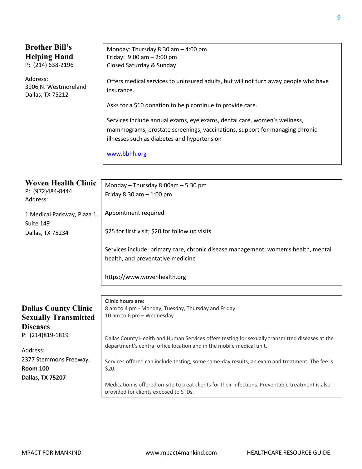| <b>Brother Bill's</b>       | Monday: Thursday 8:30 am - 4:00 pm                                                                      |  |
|-----------------------------|---------------------------------------------------------------------------------------------------------|--|
| <b>Helping Hand</b>         | Friday: $9:00$ am $- 2:00$ pm                                                                           |  |
| P: (214) 638-2196           | Closed Saturday & Sunday                                                                                |  |
|                             |                                                                                                         |  |
| Address:                    | Offers medical services to uninsured adults, but will not turn away people who have                     |  |
| 3906 N. Westmoreland        | insurance.                                                                                              |  |
| Dallas, TX 75212            |                                                                                                         |  |
|                             | Asks for a \$10 donation to help continue to provide care.                                              |  |
|                             |                                                                                                         |  |
|                             | Services include annual exams, eye exams, dental care, women's wellness,                                |  |
|                             | mammograms, prostate screenings, vaccinations, support for managing chronic                             |  |
|                             | illnesses such as diabetes and hypertension                                                             |  |
|                             |                                                                                                         |  |
|                             | www.bbhh.org                                                                                            |  |
|                             |                                                                                                         |  |
|                             |                                                                                                         |  |
| <b>Woven Health Clinic</b>  | Monday - Thursday 8:00am - 5:30 pm                                                                      |  |
| P: (972)484-8444            |                                                                                                         |  |
| Address:                    | Friday $8:30$ am $-1:00$ pm                                                                             |  |
|                             |                                                                                                         |  |
| 1 Medical Parkway, Plaza 1, | Appointment required                                                                                    |  |
| Suite 149                   |                                                                                                         |  |
| Dallas, TX 75234            | \$25 for first visit; \$20 for follow up visits                                                         |  |
|                             |                                                                                                         |  |
|                             | Services include: primary care, chronic disease management, women's health, mental                      |  |
|                             | health, and preventative medicine                                                                       |  |
|                             |                                                                                                         |  |
|                             | https://www.wovenhealth.org                                                                             |  |
|                             |                                                                                                         |  |
|                             |                                                                                                         |  |
|                             | <b>Clinic hours are:</b>                                                                                |  |
| <b>Dallas County Clinic</b> | 8 am to 4 pm - Monday, Tuesday, Thursday and Friday                                                     |  |
| <b>Sexually Transmitted</b> | 10 am to 6 pm - Wednesday                                                                               |  |
| <b>Diseases</b>             |                                                                                                         |  |
| P: (214)819-1819            |                                                                                                         |  |
|                             | Dallas County Health and Human Services offers testing for sexually transmitted diseases at the         |  |
| Address:                    | department's central office location and in the mobile medical unit.                                    |  |
| 2377 Stemmons Freeway,      |                                                                                                         |  |
| <b>Room 100</b>             | Services offered can include testing, some same-day results, an exam and treatment. The fee is<br>\$20. |  |
|                             |                                                                                                         |  |
| Dallas, TX 75207            | Medication is offered on-site to treat clients for their infections. Preventable treatment is also      |  |
|                             | provided for clients exposed to STDs.                                                                   |  |
|                             |                                                                                                         |  |

MPACT FOR MANKIND www.mpact4mankind.com HEALTHCARE RESOURCE GUIDE

9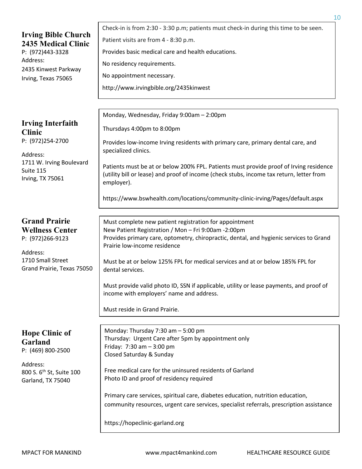| <b>Irving Bible Church</b><br><b>2435 Medical Clinic</b><br>P: (972)443-3328<br>Address:<br>2435 Kinwest Parkway<br>Irving, Texas 75065 | Patient visits are from 4 - 8:30 p.m.<br>Provides basic medical care and health educations.<br>No residency requirements.<br>No appointment necessary.<br>http://www.irvingbible.org/2435kinwest                                                                                                                                                                                                                                                                                                                      |
|-----------------------------------------------------------------------------------------------------------------------------------------|-----------------------------------------------------------------------------------------------------------------------------------------------------------------------------------------------------------------------------------------------------------------------------------------------------------------------------------------------------------------------------------------------------------------------------------------------------------------------------------------------------------------------|
| <b>Irving Interfaith</b><br><b>Clinic</b><br>P: (972)254-2700<br>Address:<br>1711 W. Irving Boulevard<br>Suite 115<br>Irving, TX 75061  | Monday, Wednesday, Friday 9:00am - 2:00pm<br>Thursdays 4:00pm to 8:00pm<br>Provides low-income Irving residents with primary care, primary dental care, and<br>specialized clinics.<br>Patients must be at or below 200% FPL. Patients must provide proof of Irving residence<br>(utility bill or lease) and proof of income (check stubs, income tax return, letter from<br>employer).<br>https://www.bswhealth.com/locations/community-clinic-irving/Pages/default.aspx                                             |
| <b>Grand Prairie</b><br><b>Wellness Center</b><br>P: (972)266-9123<br>Address:<br>1710 Small Street<br>Grand Prairie, Texas 75050       | Must complete new patient registration for appointment<br>New Patient Registration / Mon - Fri 9:00am -2:00pm<br>Provides primary care, optometry, chiropractic, dental, and hygienic services to Grand<br>Prairie low-income residence<br>Must be at or below 125% FPL for medical services and at or below 185% FPL for<br>dental services.<br>Must provide valid photo ID, SSN if applicable, utility or lease payments, and proof of<br>income with employers' name and address.<br>Must reside in Grand Prairie. |
| <b>Hope Clinic of</b><br>Garland<br>P: (469) 800-2500<br>Address:<br>800 S. 6 <sup>th</sup> St, Suite 100<br>Garland, TX 75040          | Monday: Thursday 7:30 am - 5:00 pm<br>Thursday: Urgent Care after 5pm by appointment only<br>Friday: $7:30$ am $-3:00$ pm<br>Closed Saturday & Sunday<br>Free medical care for the uninsured residents of Garland<br>Photo ID and proof of residency required<br>Primary care services, spiritual care, diabetes education, nutrition education,<br>community resources, urgent care services, specialist referrals, prescription assistance<br>https://hopeclinic-garland.org                                        |

Check-in is from 2:30 - 3:30 p.m; patients must check-in during this time to be seen.

MPACT FOR MANKIND www.mpact4mankind.com HEALTHCARE RESOURCE GUIDE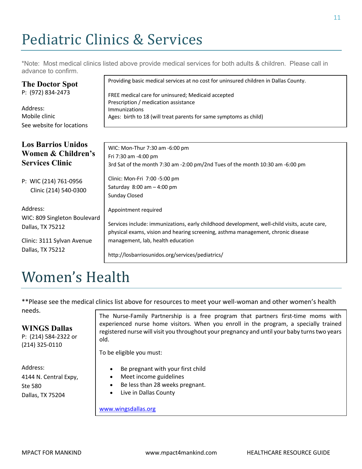## Pediatric Clinics & Services

\*Note: Most medical clinics listed above provide medical services for both adults & children. Please call in advance to confirm.

Providing basic medical services at no cost for uninsured children in Dallas County.

| P: (972) 834-2473                              | FREE medical care for uninsured; Medicaid accepted                                           |
|------------------------------------------------|----------------------------------------------------------------------------------------------|
| Address:                                       | Prescription / medication assistance                                                         |
| Mobile clinic                                  | Immunizations                                                                                |
| See website for locations                      | Ages: birth to 18 (will treat parents for same symptoms as child)                            |
| <b>Los Barrios Unidos</b>                      | WIC: Mon-Thur 7:30 am -6:00 pm                                                               |
| Women & Children's                             | Fri 7:30 am -4:00 pm                                                                         |
| <b>Services Clinic</b>                         | 3rd Sat of the month 7:30 am -2:00 pm/2nd Tues of the month 10:30 am -6:00 pm                |
| P: WIC (214) 761-0956<br>Clinic (214) 540-0300 | Clinic: Mon-Fri 7:00 -5:00 pm<br>Saturday $8:00$ am $-4:00$ pm<br>Sunday Closed              |
| Address:                                       | Appointment required                                                                         |
| WIC: 809 Singleton Boulevard                   | Services include: immunizations, early childhood development, well-child visits, acute care, |
| Dallas, TX 75212                               | physical exams, vision and hearing screening, asthma management, chronic disease             |
| Clinic: 3111 Sylvan Avenue                     | management, lab, health education                                                            |
| Dallas, TX 75212                               | http://losbarriosunidos.org/services/pediatrics/                                             |

## Women's Health

\*\*Please see the medical clinics list above for resources to meet your well-woman and other women's health needs.

#### **WINGS Dallas**

P: (214) 584-2322 or (214) 325-0110

**The Doctor Spot**

experienced nurse home visitors. When you enroll in the program, a specially trained registered nurse will visit you throughout your pregnancy and until your baby turns two years Sunday Closed The Nurse-Family Partnership is a free program that partners first-time moms with old.

To be eligible you must:

- Address: 4144 N. Central Expy, Ste 580 Dallas, TX 75204
- Be pregnant with your first child
- Meet income guidelines
- Be less than 28 weeks pregnant.
- Live in Dallas County

#### www.wingsdallas.org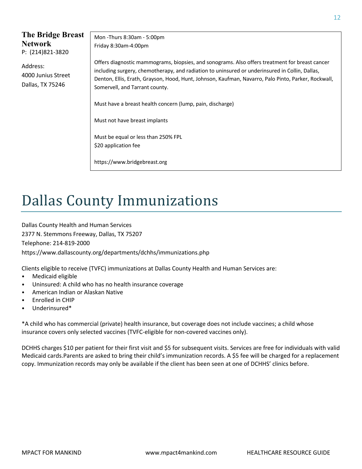| The Bridge Breast<br><b>Network</b><br>P: (214)821-3820 | Mon -Thurs 8:30am - 5:00pm<br>Friday 8:30am-4:00pm                                                                                                                                                                                                                                                                                        |
|---------------------------------------------------------|-------------------------------------------------------------------------------------------------------------------------------------------------------------------------------------------------------------------------------------------------------------------------------------------------------------------------------------------|
| Address:<br>4000 Junius Street<br>Dallas, TX 75246      | Offers diagnostic mammograms, biopsies, and sonograms. Also offers treatment for breast cancer<br>including surgery, chemotherapy, and radiation to uninsured or underinsured in Collin, Dallas,<br>Denton, Ellis, Erath, Grayson, Hood, Hunt, Johnson, Kaufman, Navarro, Palo Pinto, Parker, Rockwall,<br>Somervell, and Tarrant county. |
|                                                         | Must have a breast health concern (lump, pain, discharge)                                                                                                                                                                                                                                                                                 |
|                                                         | Must not have breast implants                                                                                                                                                                                                                                                                                                             |
|                                                         | Must be equal or less than 250% FPL                                                                                                                                                                                                                                                                                                       |
|                                                         | \$20 application fee                                                                                                                                                                                                                                                                                                                      |
|                                                         | https://www.bridgebreast.org                                                                                                                                                                                                                                                                                                              |

## Dallas County Immunizations

Dallas County Health and Human Services 2377 N. Stemmons Freeway, Dallas, TX 75207 Telephone: 214-819-2000 https://www.dallascounty.org/departments/dchhs/immunizations.php

Clients eligible to receive (TVFC) immunizations at Dallas County Health and Human Services are:

- Medicaid eligible
- Uninsured: A child who has no health insurance coverage
- American Indian or Alaskan Native
- Enrolled in CHIP
- Underinsured\*

\*A child who has commercial (private) health insurance, but coverage does not include vaccines; a child whose insurance covers only selected vaccines (TVFC-eligible for non-covered vaccines only).

DCHHS charges \$10 per patient for their first visit and \$5 for subsequent visits. Services are free for individuals with valid Medicaid cards.Parents are asked to bring their child's immunization records. A \$5 fee will be charged for a replacement copy. Immunization records may only be available if the client has been seen at one of DCHHS' clinics before.

12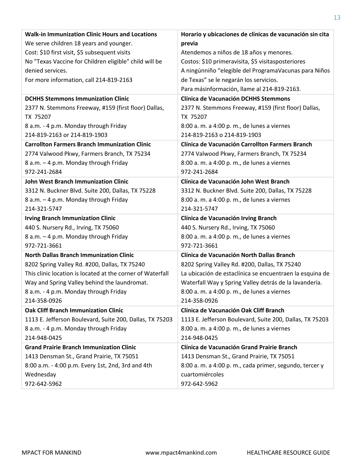| <b>Walk-in Immunization Clinic Hours and Locations</b>     | Horario y ubicaciones de clínicas de vacunación sin cita |
|------------------------------------------------------------|----------------------------------------------------------|
| We serve children 18 years and younger.                    | previa                                                   |
| Cost: \$10 first visit, \$5 subsequent visits              | Atendemos a niños de 18 años y menores.                  |
| No "Texas Vaccine for Children eligible" child will be     | Costos: \$10 primeravisita, \$5 visitasposteriores       |
| denied services.                                           | A ningúnniño "elegible del ProgramaVacunas para Niños    |
| For more information, call 214-819-2163                    | de Texas" se le negarán los servicios.                   |
|                                                            | Para másinformación, llame al 214-819-2163.              |
| <b>DCHHS Stemmons Immunization Clinic</b>                  | <b>Clínica de Vacunación DCHHS Stemmons</b>              |
| 2377 N. Stemmons Freeway, #159 (first floor) Dallas,       | 2377 N. Stemmons Freeway, #159 (first floor) Dallas,     |
| TX 75207                                                   | TX 75207                                                 |
| 8 a.m. - 4 p.m. Monday through Friday                      | 8:00 a. m. a 4:00 p. m., de lunes a viernes              |
| 214-819-2163 or 214-819-1903                               | 214-819-2163 o 214-819-1903                              |
| <b>Carrollton Farmers Branch Immunization Clinic</b>       | Clínica de Vacunación Carrollton Farmers Branch          |
| 2774 Valwood Pkwy, Farmers Branch, TX 75234                | 2774 Valwood Pkwy, Farmers Branch, TX 75234              |
| 8 a.m. - 4 p.m. Monday through Friday                      | 8:00 a. m. a 4:00 p. m., de lunes a viernes              |
| 972-241-2684                                               | 972-241-2684                                             |
| <b>John West Branch Immunization Clinic</b>                | Clínica de Vacunación John West Branch                   |
| 3312 N. Buckner Blvd. Suite 200, Dallas, TX 75228          | 3312 N. Buckner Blvd. Suite 200, Dallas, TX 75228        |
| 8 a.m. - 4 p.m. Monday through Friday                      | 8:00 a. m. a 4:00 p. m., de lunes a viernes              |
| 214-321-5747                                               | 214-321-5747                                             |
| <b>Irving Branch Immunization Clinic</b>                   | Clínica de Vacunación Irving Branch                      |
| 440 S. Nursery Rd., Irving, TX 75060                       | 440 S. Nursery Rd., Irving, TX 75060                     |
| 8 a.m. - 4 p.m. Monday through Friday                      | 8:00 a. m. a 4:00 p. m., de lunes a viernes              |
| 972-721-3661                                               | 972-721-3661                                             |
| <b>North Dallas Branch Immunization Clinic</b>             | Clínica de Vacunación North Dallas Branch                |
| 8202 Spring Valley Rd. #200, Dallas, TX 75240              | 8202 Spring Valley Rd. #200, Dallas, TX 75240            |
| This clinic location is located at the corner of Waterfall | La ubicación de estaclínica se encuentraen la esquina de |
| Way and Spring Valley behind the laundromat.               | Waterfall Way y Spring Valley detrás de la lavandería.   |
| 8 a.m. - 4 p.m. Monday through Friday                      | 8:00 a. m. a 4:00 p. m., de lunes a viernes              |
| 214-358-0926                                               | 214-358-0926                                             |
| <b>Oak Cliff Branch Immunization Clinic</b>                | Clínica de Vacunación Oak Cliff Branch                   |
| 1113 E. Jefferson Boulevard, Suite 200, Dallas, TX 75203   | 1113 E. Jefferson Boulevard, Suite 200, Dallas, TX 75203 |
| 8 a.m. - 4 p.m. Monday through Friday                      | 8:00 a. m. a 4:00 p. m., de lunes a viernes              |
| 214-948-0425                                               | 214-948-0425                                             |
| <b>Grand Prairie Branch Immunization Clinic</b>            | Clínica de Vacunación Grand Prairie Branch               |
| 1413 Densman St., Grand Prairie, TX 75051                  | 1413 Densman St., Grand Prairie, TX 75051                |
| 8:00 a.m. - 4:00 p.m. Every 1st, 2nd, 3rd and 4th          | 8:00 a. m. a 4:00 p. m., cada primer, segundo, tercer y  |
| Wednesday                                                  | cuartomiércoles                                          |
| 972-642-5962                                               | 972-642-5962                                             |

13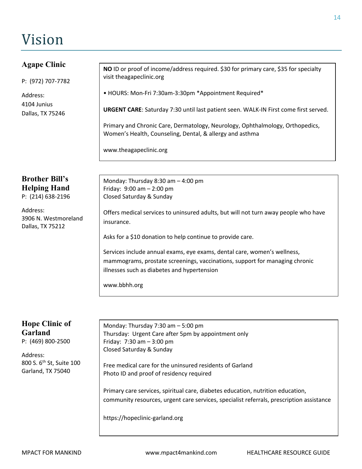## Vision

| <b>Agape Clinic</b><br>P: (972) 707-7782<br>Address:<br>4104 Junius | NO ID or proof of income/address required. \$30 for primary care, \$35 for specialty<br>visit theagapeclinic.org<br>• HOURS: Mon-Fri 7:30am-3:30pm *Appointment Required*<br>URGENT CARE: Saturday 7:30 until last patient seen. WALK-IN First come first served.                    |
|---------------------------------------------------------------------|--------------------------------------------------------------------------------------------------------------------------------------------------------------------------------------------------------------------------------------------------------------------------------------|
| Dallas, TX 75246                                                    | Primary and Chronic Care, Dermatology, Neurology, Ophthalmology, Orthopedics,<br>Women's Health, Counseling, Dental, & allergy and asthma<br>www.theagapeclinic.org                                                                                                                  |
| <b>Brother Bill's</b><br><b>Helping Hand</b><br>P: (214) 638-2196   | Monday: Thursday 8:30 am - 4:00 pm<br>Friday: $9:00 \text{ am} - 2:00 \text{ pm}$<br>Closed Saturday & Sunday                                                                                                                                                                        |
| Address:<br>3906 N. Westmoreland<br>Dallas, TX 75212                | Offers medical services to uninsured adults, but will not turn away people who have<br>insurance.                                                                                                                                                                                    |
|                                                                     | Asks for a \$10 donation to help continue to provide care.<br>Services include annual exams, eye exams, dental care, women's wellness,<br>mammograms, prostate screenings, vaccinations, support for managing chronic<br>illnesses such as diabetes and hypertension<br>www.bbhh.org |
|                                                                     |                                                                                                                                                                                                                                                                                      |
| <b>Hope Clinic of</b><br>Garland<br>P: (469) 800-2500<br>Address:   | Monday: Thursday 7:30 am - 5:00 pm<br>Thursday: Urgent Care after 5pm by appointment only<br>Friday: $7:30$ am $-3:00$ pm<br>Closed Saturday & Sunday                                                                                                                                |

800 S. 6<sup>th</sup> St, Suite 100 Garland, TX 75040

Free medical care for the uninsured residents of Garland Photo ID and proof of residency required

Primary care services, spiritual care, diabetes education, nutrition education, community resources, urgent care services, specialist referrals, prescription assistance

https://hopeclinic-garland.org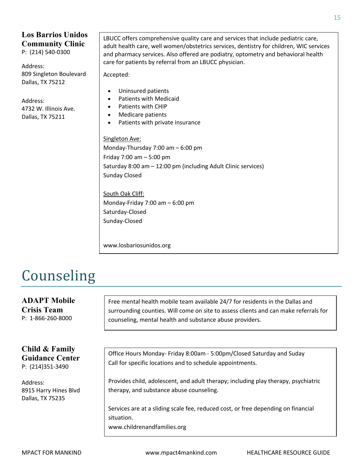## **Los Barrios Unidos Community Clinic**

P: (214) 540-0300

Address: 809 Singleton Boulevard Dallas, TX 75212

Address: 4732 W. Illinois Ave. Dallas, TX 75211

LBUCC offers comprehensive quality care and services that include pediatric care, adult health care, well women/obstetrics services, dentistry for children, WIC services and pharmacy services. Also offered are podiatry, optometry and behavioral health care for patients by referral from an LBUCC physician.

Accepted:

- Uninsured patients
- Patients with Medicaid
- Patients with CHIP
- Medicare patients
- Patients with private insurance

Singleton Ave:

Monday-Thursday 7:00 am – 6:00 pm Friday 7:00 am – 5:00 pm Saturday 8:00 am – 12:00 pm (including Adult Clinic services) Sunday Closed

South Oak Cliff: Monday-Friday 7:00 am – 6:00 pm Saturday-Closed Sunday-Closed

www.losbariosunidos.org

## Counseling

**ADAPT Mobile Crisis Team** P: 1-866-260-8000 **Child & Family Guidance Center** P: (214)351-3490 Address: 8915 Harry Hines Blvd Dallas, TX 75235 Free mental health mobile team available 24/7 for residents in the Dallas and surrounding counties. Will come on site to assess clients and can make referrals for counseling, mental health and substance abuse providers. Office Hours Monday- Friday 8:00am - 5:00pm/Closed Saturday and Suday Call for specific locations and to schedule appointments. Provides child, adolescent, and adult therapy; including play therapy, psychiatric therapy, and substance abuse counseling. Services are at a sliding scale fee, reduced cost, or free depending on financial situation. www.childrenandfamilies.org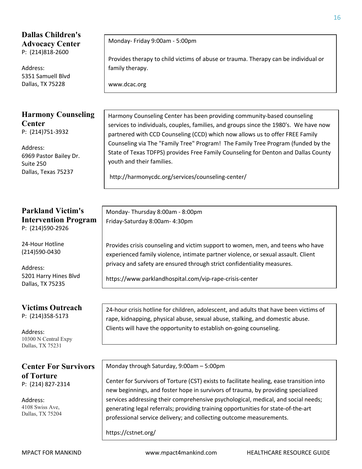### **Dallas Children's Advocacy Center** P: (214)818-2600

Address: 5351 Samuell Blvd Dallas, TX 75228

#### **Harmony Counseling Center** P: (214)751-3932

Address: 6969 Pastor Bailey Dr. Suite 250 Dallas, Texas 75237

#### **Parkland Victim's Intervention Program**  P: (214)590-2926

24-Hour Hotline (214)590-0430

Address: 5201 Harry Hines Blvd Dallas, TX 75235

**Victims Outreach**  P: (214)358-5173

Address: 10300 N Central Expy Dallas, TX 75231

### **Center For Survivors of Torture** P: (214) 827-2314

Address: 4108 Swiss Ave, Dallas, TX 75204 Monday- Friday 9:00am - 5:00pm

Provides therapy to child victims of abuse or trauma. Therapy can be individual or family therapy.

www.dcac.org

Harmony Counseling Center has been providing community-based counseling services to individuals, couples, families, and groups since the 1980's. We have now partnered with CCD Counseling (CCD) which now allows us to offer FREE Family Counseling via The "Family Tree" Program! The Family Tree Program (funded by the State of Texas TDFPS) provides Free Family Counseling for Denton and Dallas County youth and their families.

http://harmonycdc.org/services/counseling-center/

Monday- Thursday 8:00am - 8:00pm Friday-Saturday 8:00am- 4:30pm

Provides crisis counseling and victim support to women, men, and teens who have experienced family violence, intimate partner violence, or sexual assault. Client privacy and safety are ensured through strict confidentiality measures.

https://www.parklandhospital.com/vip-rape-crisis-center

24-hour crisis hotline for children, adolescent, and adults that have been victims of rape, kidnapping, physical abuse, sexual abuse, stalking, and domestic abuse. Clients will have the opportunity to establish on-going counseling.

Monday through Saturday, 9:00am – 5:00pm

Center for Survivors of Torture (CST) exists to facilitate healing, ease transition into new beginnings, and foster hope in survivors of trauma, by providing specialized services addressing their comprehensive psychological, medical, and social needs; generating legal referrals; providing training opportunities for state-of-the-art professional service delivery; and collecting outcome measurements.

https://cstnet.org/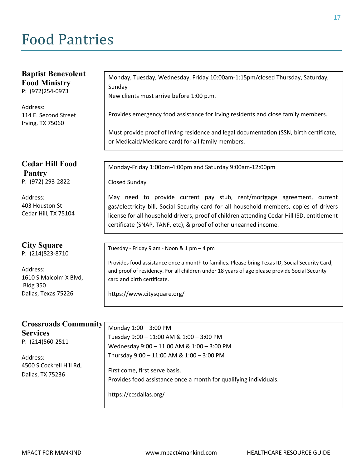## Food Pantries

| <b>Baptist Benevolent</b>                 | Monday, Tuesday, Wednesday, Friday 10:00am-1:15pm/closed Thursday, Saturday,                    |
|-------------------------------------------|-------------------------------------------------------------------------------------------------|
| <b>Food Ministry</b><br>P: (972)254-0973  | Sunday                                                                                          |
|                                           | New clients must arrive before 1:00 p.m.                                                        |
| Address:                                  |                                                                                                 |
| 114 E. Second Street<br>Irving, TX 75060  | Provides emergency food assistance for Irving residents and close family members.               |
|                                           | Must provide proof of Irving residence and legal documentation (SSN, birth certificate,         |
|                                           | or Medicaid/Medicare card) for all family members.                                              |
|                                           |                                                                                                 |
| <b>Cedar Hill Food</b><br><b>Pantry</b>   | Monday-Friday 1:00pm-4:00pm and Saturday 9:00am-12:00pm                                         |
| P: (972) 293-2822                         | <b>Closed Sunday</b>                                                                            |
| Address:                                  | May need to provide current pay stub, rent/mortgage agreement, current                          |
| 403 Houston St                            | gas/electricity bill, Social Security card for all household members, copies of drivers         |
| Cedar Hill, TX 75104                      | license for all household drivers, proof of children attending Cedar Hill ISD, entitlement      |
|                                           | certificate (SNAP, TANF, etc), & proof of other unearned income.                                |
|                                           |                                                                                                 |
| <b>City Square</b><br>P: (214)823-8710    | Tuesday - Friday 9 am - Noon & 1 pm - 4 pm                                                      |
|                                           | Provides food assistance once a month to families. Please bring Texas ID, Social Security Card, |
| Address:                                  | and proof of residency. For all children under 18 years of age please provide Social Security   |
| 1610 S Malcolm X Blvd,<br><b>Bldg 350</b> | card and birth certificate.                                                                     |
| Dallas, Texas 75226                       | https://www.citysquare.org/                                                                     |
|                                           |                                                                                                 |
|                                           |                                                                                                 |
| <b>Crossroads Community</b>               | Monday 1:00 - 3:00 PM                                                                           |
| <b>Services</b>                           | Tuesday 9:00 - 11:00 AM & 1:00 - 3:00 PM                                                        |
| P: (214)560-2511                          | Wednesday 9:00 - 11:00 AM & 1:00 - 3:00 PM                                                      |
| Address:                                  | Thursday 9:00 - 11:00 AM & 1:00 - 3:00 PM                                                       |
| 4500 S Cockrell Hill Rd,                  |                                                                                                 |
| Dallas, TX 75236                          | First come, first serve basis.                                                                  |
|                                           | Provides food assistance once a month for qualifying individuals.                               |
|                                           | https://ccsdallas.org/                                                                          |